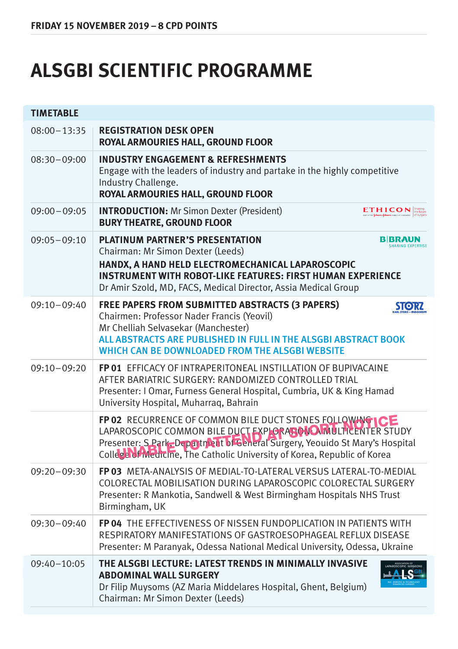## **ALSGBI SCIENTIFIC PROGRAMME**

| <b>TIMETABLE</b> |                                                                                                                                                                                                                                                                                            |  |  |
|------------------|--------------------------------------------------------------------------------------------------------------------------------------------------------------------------------------------------------------------------------------------------------------------------------------------|--|--|
| $08:00 - 13:35$  | <b>REGISTRATION DESK OPEN</b><br>ROYAL ARMOURIES HALL, GROUND FLOOR                                                                                                                                                                                                                        |  |  |
| $08:30-09:00$    | <b>INDUSTRY ENGAGEMENT &amp; REFRESHMENTS</b><br>Engage with the leaders of industry and partake in the highly competitive<br>Industry Challenge.<br>ROYAL ARMOURIES HALL, GROUND FLOOR                                                                                                    |  |  |
| $09:00 - 09:05$  | <b>INTRODUCTION:</b> Mr Simon Dexter (President)<br><b>ETHICON</b><br><b>BURY THEATRE, GROUND FLOOR</b>                                                                                                                                                                                    |  |  |
| $09:05 - 09:10$  | <b>PLATINUM PARTNER'S PRESENTATION</b><br><b>B</b> BRAUN<br>Chairman: Mr Simon Dexter (Leeds)<br>HANDX, A HAND HELD ELECTROMECHANICAL LAPAROSCOPIC<br><b>INSTRUMENT WITH ROBOT-LIKE FEATURES: FIRST HUMAN EXPERIENCE</b><br>Dr Amir Szold, MD, FACS, Medical Director, Assia Medical Group |  |  |
| $09:10-09:40$    | <b>FREE PAPERS FROM SUBMITTED ABSTRACTS (3 PAPERS)</b><br><b>STORZ</b><br>Chairmen: Professor Nader Francis (Yeovil)<br>Mr Chelliah Selvasekar (Manchester)<br>ALL ABSTRACTS ARE PUBLISHED IN FULL IN THE ALSGBI ABSTRACT BOOK<br>WHICH CAN BE DOWNLOADED FROM THE ALSGBI WEBSITE          |  |  |
| $09:10-09:20$    | <b>FP 01 EFFICACY OF INTRAPERITONEAL INSTILLATION OF BUPIVACAINE</b><br>AFTER BARIATRIC SURGERY: RANDOMIZED CONTROLLED TRIAL<br>Presenter: I Omar, Furness General Hospital, Cumbria, UK & King Hamad<br>University Hospital, Muharrag, Bahrain                                            |  |  |
|                  | FP 02 RECURRENCE OF COMMON BILE DUCT STONES FOLLOWING ICE<br>LAPAROSCOPIC COMMON BILE DUCT EXPLORAGONO MULTICENTER STUDY<br>Presenter: S.Park. Department of General Surgery, Yeouido St Mary's Hospital<br>College of Medicine, The Catholic University of Korea, Republic of Korea       |  |  |
| $09:20 - 09:30$  | FP 03 META-ANALYSIS OF MEDIAL-TO-LATERAL VERSUS LATERAL-TO-MEDIAL<br>COLORECTAL MOBILISATION DURING LAPAROSCOPIC COLORECTAL SURGERY<br>Presenter: R Mankotia, Sandwell & West Birmingham Hospitals NHS Trust<br>Birmingham, UK                                                             |  |  |
| $09:30 - 09:40$  | <b>FP 04 THE EFFECTIVENESS OF NISSEN FUNDOPLICATION IN PATIENTS WITH</b><br>RESPIRATORY MANIFESTATIONS OF GASTROESOPHAGEAL REFLUX DISEASE<br>Presenter: M Paranyak, Odessa National Medical University, Odessa, Ukraine                                                                    |  |  |
| $09:40 - 10:05$  | THE ALSGBI LECTURE: LATEST TRENDS IN MINIMALLY INVASIVE<br><b>ABDOMINAL WALL SURGERY</b><br>Dr Filip Muysoms (AZ Maria Middelares Hospital, Ghent, Belgium)<br>Chairman: Mr Simon Dexter (Leeds)                                                                                           |  |  |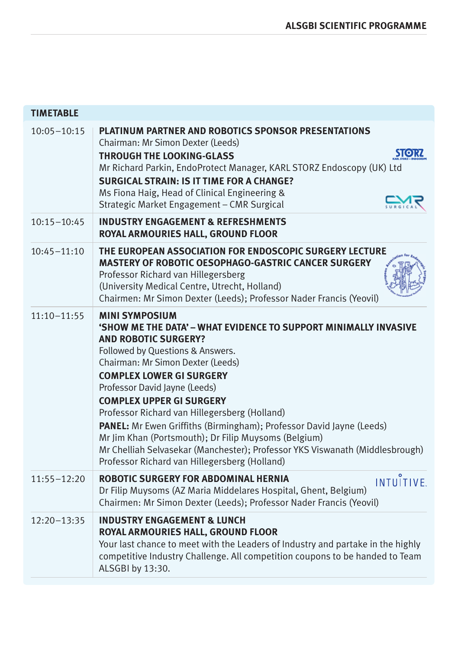| <b>TIMETABLE</b> |                                                                                                                                                                                                                                                                                                                                                                                                                                                                                                                                                                                                                                   |
|------------------|-----------------------------------------------------------------------------------------------------------------------------------------------------------------------------------------------------------------------------------------------------------------------------------------------------------------------------------------------------------------------------------------------------------------------------------------------------------------------------------------------------------------------------------------------------------------------------------------------------------------------------------|
| $10:05 - 10:15$  | <b>PLATINUM PARTNER AND ROBOTICS SPONSOR PRESENTATIONS</b><br>Chairman: Mr Simon Dexter (Leeds)<br><b>SIORZ</b><br><b>THROUGH THE LOOKING-GLASS</b><br>Mr Richard Parkin, EndoProtect Manager, KARL STORZ Endoscopy (UK) Ltd<br><b>SURGICAL STRAIN: IS IT TIME FOR A CHANGE?</b><br>Ms Fiona Haig, Head of Clinical Engineering &<br>Strategic Market Engagement - CMR Surgical                                                                                                                                                                                                                                                   |
| $10:15 - 10:45$  | <b>INDUSTRY ENGAGEMENT &amp; REFRESHMENTS</b><br>ROYAL ARMOURIES HALL, GROUND FLOOR                                                                                                                                                                                                                                                                                                                                                                                                                                                                                                                                               |
| $10:45 - 11:10$  | THE EUROPEAN ASSOCIATION FOR ENDOSCOPIC SURGERY LECTURE<br>MASTERY OF ROBOTIC OESOPHAGO-GASTRIC CANCER SURGERY<br>Professor Richard van Hillegersberg<br>(University Medical Centre, Utrecht, Holland)<br>Chairmen: Mr Simon Dexter (Leeds); Professor Nader Francis (Yeovil)                                                                                                                                                                                                                                                                                                                                                     |
| $11:10 - 11:55$  | <b>MINI SYMPOSIUM</b><br>'SHOW ME THE DATA' - WHAT EVIDENCE TO SUPPORT MINIMALLY INVASIVE<br><b>AND ROBOTIC SURGERY?</b><br>Followed by Questions & Answers.<br>Chairman: Mr Simon Dexter (Leeds)<br><b>COMPLEX LOWER GI SURGERY</b><br>Professor David Jayne (Leeds)<br><b>COMPLEX UPPER GI SURGERY</b><br>Professor Richard van Hillegersberg (Holland)<br><b>PANEL:</b> Mr Ewen Griffiths (Birmingham); Professor David Jayne (Leeds)<br>Mr Jim Khan (Portsmouth); Dr Filip Muysoms (Belgium)<br>Mr Chelliah Selvasekar (Manchester); Professor YKS Viswanath (Middlesbrough)<br>Professor Richard van Hillegersberg (Holland) |
| $11:55 - 12:20$  | <b>ROBOTIC SURGERY FOR ABDOMINAL HERNIA</b><br>INTUĬTIVE.<br>Dr Filip Muysoms (AZ Maria Middelares Hospital, Ghent, Belgium)<br>Chairmen: Mr Simon Dexter (Leeds); Professor Nader Francis (Yeovil)                                                                                                                                                                                                                                                                                                                                                                                                                               |
| $12:20 - 13:35$  | <b>INDUSTRY ENGAGEMENT &amp; LUNCH</b><br>ROYAL ARMOURIES HALL, GROUND FLOOR<br>Your last chance to meet with the Leaders of Industry and partake in the highly<br>competitive Industry Challenge. All competition coupons to be handed to Team<br>ALSGBI by 13:30.                                                                                                                                                                                                                                                                                                                                                               |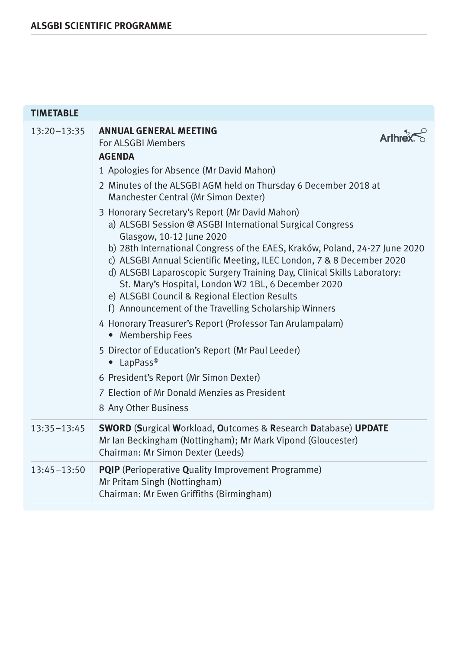| <b>TIMETABLE</b> |                                                                                                                                                                                                                                                                                                                                                                                                                                                                                                                                                                                                                                                                                                                                                                                                                             |
|------------------|-----------------------------------------------------------------------------------------------------------------------------------------------------------------------------------------------------------------------------------------------------------------------------------------------------------------------------------------------------------------------------------------------------------------------------------------------------------------------------------------------------------------------------------------------------------------------------------------------------------------------------------------------------------------------------------------------------------------------------------------------------------------------------------------------------------------------------|
| $13:20 - 13:35$  | <b>ANNUAL GENERAL MEETING</b><br><b>Arthre</b><br>For ALSGBI Members<br><b>AGENDA</b><br>1 Apologies for Absence (Mr David Mahon)                                                                                                                                                                                                                                                                                                                                                                                                                                                                                                                                                                                                                                                                                           |
|                  | 2 Minutes of the ALSGBI AGM held on Thursday 6 December 2018 at<br>Manchester Central (Mr Simon Dexter)                                                                                                                                                                                                                                                                                                                                                                                                                                                                                                                                                                                                                                                                                                                     |
|                  | 3 Honorary Secretary's Report (Mr David Mahon)<br>a) ALSGBI Session @ ASGBI International Surgical Congress<br>Glasgow, 10-12 June 2020<br>b) 28th International Congress of the EAES, Kraków, Poland, 24-27 June 2020<br>c) ALSGBI Annual Scientific Meeting, ILEC London, 7 & 8 December 2020<br>d) ALSGBI Laparoscopic Surgery Training Day, Clinical Skills Laboratory:<br>St. Mary's Hospital, London W2 1BL, 6 December 2020<br>e) ALSGBI Council & Regional Election Results<br>f) Announcement of the Travelling Scholarship Winners<br>4 Honorary Treasurer's Report (Professor Tan Arulampalam)<br>• Membership Fees<br>5 Director of Education's Report (Mr Paul Leeder)<br>$\bullet$ LapPass®<br>6 President's Report (Mr Simon Dexter)<br>7 Election of Mr Donald Menzies as President<br>8 Any Other Business |
| $13:35 - 13:45$  | <b>SWORD (Surgical Workload, Outcomes &amp; Research Database) UPDATE</b><br>Mr Ian Beckingham (Nottingham); Mr Mark Vipond (Gloucester)<br>Chairman: Mr Simon Dexter (Leeds)                                                                                                                                                                                                                                                                                                                                                                                                                                                                                                                                                                                                                                               |
| $13:45 - 13:50$  | <b>PQIP</b> (Perioperative Quality Improvement Programme)<br>Mr Pritam Singh (Nottingham)<br>Chairman: Mr Ewen Griffiths (Birmingham)                                                                                                                                                                                                                                                                                                                                                                                                                                                                                                                                                                                                                                                                                       |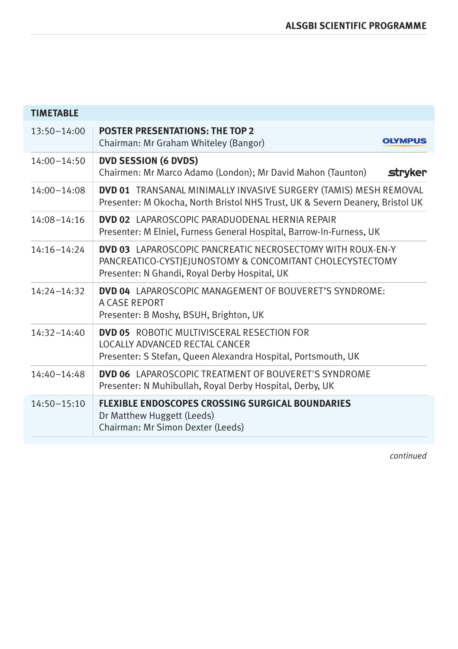| <b>TIMETABLE</b> |                                                                                                                                                                                 |
|------------------|---------------------------------------------------------------------------------------------------------------------------------------------------------------------------------|
| $13:50 - 14:00$  | <b>POSTER PRESENTATIONS: THE TOP 2</b><br><b>OLYMPUS</b><br>Chairman: Mr Graham Whiteley (Bangor)                                                                               |
| $14:00 - 14:50$  | <b>DVD SESSION (6 DVDS)</b><br>stryker<br>Chairmen: Mr Marco Adamo (London); Mr David Mahon (Taunton)                                                                           |
| $14:00 - 14:08$  | DVD 01 TRANSANAL MINIMALLY INVASIVE SURGERY (TAMIS) MESH REMOVAL<br>Presenter: M Okocha, North Bristol NHS Trust, UK & Severn Deanery, Bristol UK                               |
| 14:08-14:16      | <b>DVD 02</b> LAPAROSCOPIC PARADUODENAL HERNIA REPAIR<br>Presenter: M Elniel, Furness General Hospital, Barrow-In-Furness, UK                                                   |
| $14:16 - 14:24$  | <b>DVD 03</b> LAPAROSCOPIC PANCREATIC NECROSECTOMY WITH ROUX-EN-Y<br>PANCREATICO-CYSTIEJUNOSTOMY & CONCOMITANT CHOLECYSTECTOMY<br>Presenter: N Ghandi, Royal Derby Hospital, UK |
| $14:24 - 14:32$  | <b>DVD 04</b> LAPAROSCOPIC MANAGEMENT OF BOUVERET'S SYNDROME:<br>A CASE REPORT<br>Presenter: B Moshy, BSUH, Brighton, UK                                                        |
| $14:32 - 14:40$  | <b>DVD 05</b> ROBOTIC MULTIVISCERAL RESECTION FOR<br>LOCALLY ADVANCED RECTAL CANCER<br>Presenter: S Stefan, Queen Alexandra Hospital, Portsmouth, UK                            |
| $14:40 - 14:48$  | <b>DVD 06</b> LAPAROSCOPIC TREATMENT OF BOUVERET'S SYNDROME<br>Presenter: N Muhibullah, Royal Derby Hospital, Derby, UK                                                         |
| $14:50 - 15:10$  | <b>FLEXIBLE ENDOSCOPES CROSSING SURGICAL BOUNDARIES</b><br>Dr Matthew Huggett (Leeds)<br>Chairman: Mr Simon Dexter (Leeds)                                                      |

*continued*